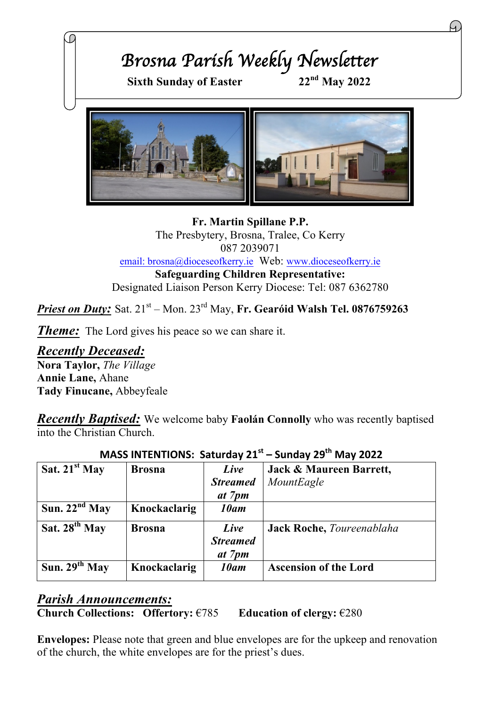

**Fr. Martin Spillane P.P.** The Presbytery, Brosna, Tralee, Co Kerry 087 2039071 email: brosna@dioceseofkerry.ie Web: www.dioceseofkerry.ie **Safeguarding Children Representative:** Designated Liaison Person Kerry Diocese: Tel: 087 6362780

*Priest on Duty:* Sat. 21<sup>st</sup> – Mon. 23<sup>rd</sup> May, Fr. Gearóid Walsh Tel. 0876759263

*Theme:* The Lord gives his peace so we can share it.

## *Recently Deceased:*

**Nora Taylor,** *The Village* **Annie Lane,** Ahane **Tady Finucane,** Abbeyfeale

*Recently Baptised:* We welcome baby **Faolán Connolly** who was recently baptised into the Christian Church.

| IVIASS INTENTIONS: Saturday 21 - Sunday 29 - May 2022 |               |                 |                              |
|-------------------------------------------------------|---------------|-----------------|------------------------------|
| Sat. $21^{st}$ May                                    | <b>Brosna</b> | Live            | Jack & Maureen Barrett,      |
|                                                       |               | <b>Streamed</b> | MountEagle                   |
|                                                       |               | at 7pm          |                              |
| Sun. $22nd$ May                                       | Knockaclarig  | 10am            |                              |
| Sat. $28^{th}$ May                                    | <b>Brosna</b> | Live            | Jack Roche, Toureenablaha    |
|                                                       |               | <b>Streamed</b> |                              |
|                                                       |               | at 7pm          |                              |
| Sun. $29th$ May                                       | Knockaclarig  | 10am            | <b>Ascension of the Lord</b> |

#### $\frac{1}{2}$

#### *Parish Announcements:*  **Church Collections: Offertory:** €785 **Education of clergy:** €280

**Envelopes:** Please note that green and blue envelopes are for the upkeep and renovation of the church, the white envelopes are for the priest's dues.